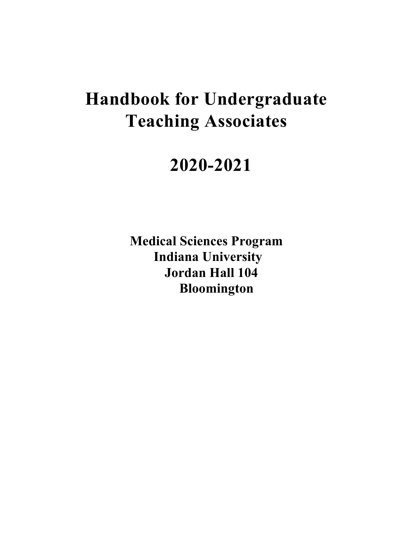# **Handbook for Undergraduate Teaching Associates**

# **2020-2021**

**Medical Sciences Program Indiana University Jordan Hall 104 Bloomington**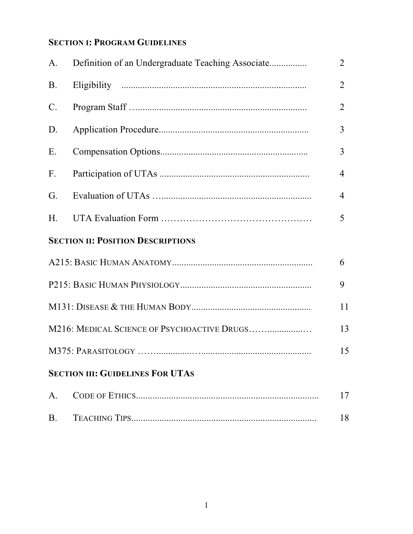# **SECTION I: PROGRAM GUIDELINES**

| A.                                                | Definition of an Undergraduate Teaching Associate | $\overline{2}$ |  |  |  |
|---------------------------------------------------|---------------------------------------------------|----------------|--|--|--|
| <b>B.</b>                                         |                                                   | $\overline{2}$ |  |  |  |
| $\mathcal{C}$ .                                   |                                                   | $\overline{2}$ |  |  |  |
| D.                                                |                                                   | 3              |  |  |  |
| E.                                                |                                                   | 3              |  |  |  |
| F.                                                |                                                   | $\overline{4}$ |  |  |  |
| G.                                                |                                                   | 4              |  |  |  |
| H.                                                |                                                   | 5              |  |  |  |
| <b>SECTION II: POSITION DESCRIPTIONS</b>          |                                                   |                |  |  |  |
|                                                   |                                                   | 6              |  |  |  |
| 9                                                 |                                                   |                |  |  |  |
| 11                                                |                                                   |                |  |  |  |
| M216: MEDICAL SCIENCE OF PSYCHOACTIVE DRUGS<br>13 |                                                   |                |  |  |  |
|                                                   |                                                   | 15             |  |  |  |
| <b>SECTION III: GUIDELINES FOR UTAS</b>           |                                                   |                |  |  |  |
| A.                                                |                                                   | 17             |  |  |  |
| <b>B.</b>                                         |                                                   | 18             |  |  |  |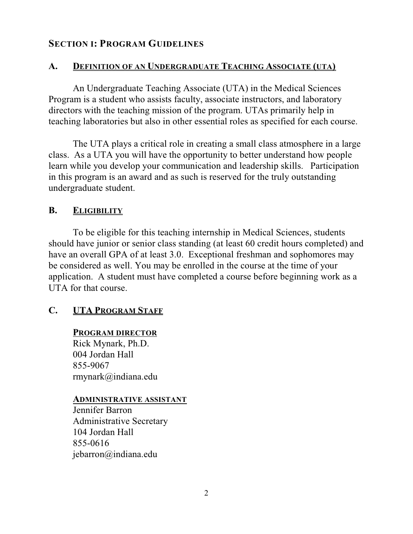## **SECTION I: PROGRAM GUIDELINES**

#### **A. DEFINITION OF AN UNDERGRADUATE TEACHING ASSOCIATE (UTA)**

An Undergraduate Teaching Associate (UTA) in the Medical Sciences Program is a student who assists faculty, associate instructors, and laboratory directors with the teaching mission of the program. UTAs primarily help in teaching laboratories but also in other essential roles as specified for each course.

The UTA plays a critical role in creating a small class atmosphere in a large class. As a UTA you will have the opportunity to better understand how people learn while you develop your communication and leadership skills. Participation in this program is an award and as such is reserved for the truly outstanding undergraduate student.

#### **B. ELIGIBILITY**

To be eligible for this teaching internship in Medical Sciences, students should have junior or senior class standing (at least 60 credit hours completed) and have an overall GPA of at least 3.0. Exceptional freshman and sophomores may be considered as well. You may be enrolled in the course at the time of your application. A student must have completed a course before beginning work as a UTA for that course.

## **C. UTA PROGRAM STAFF**

**PROGRAM DIRECTOR** Rick Mynark, Ph.D. 004 Jordan Hall 855-9067 rmynark@indiana.edu

#### **ADMINISTRATIVE ASSISTANT**

Jennifer Barron Administrative Secretary 104 Jordan Hall 855-0616 jebarron@indiana.edu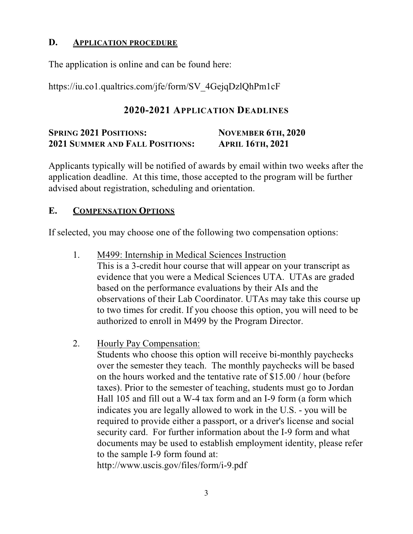### **D. APPLICATION PROCEDURE**

The application is online and can be found here:

https://iu.co1.qualtrics.com/jfe/form/SV\_4GejqDzlQhPm1cF

## **2020-2021 APPLICATION DEADLINES**

# **SPRING 2021 POSITIONS: NOVEMBER 6TH, 2020 2021 SUMMER AND FALL POSITIONS: APRIL 16TH, 2021**

Applicants typically will be notified of awards by email within two weeks after the application deadline. At this time, those accepted to the program will be further advised about registration, scheduling and orientation.

## **E. COMPENSATION OPTIONS**

If selected, you may choose one of the following two compensation options:

- 1. M499: Internship in Medical Sciences Instruction This is a 3-credit hour course that will appear on your transcript as evidence that you were a Medical Sciences UTA. UTAs are graded based on the performance evaluations by their AIs and the observations of their Lab Coordinator. UTAs may take this course up to two times for credit. If you choose this option, you will need to be authorized to enroll in M499 by the Program Director.
- 2. Hourly Pay Compensation:

Students who choose this option will receive bi-monthly paychecks over the semester they teach. The monthly paychecks will be based on the hours worked and the tentative rate of \$15.00 / hour (before taxes). Prior to the semester of teaching, students must go to Jordan Hall 105 and fill out a W-4 tax form and an I-9 form (a form which indicates you are legally allowed to work in the U.S. - you will be required to provide either a passport, or a driver's license and social security card. For further information about the I-9 form and what documents may be used to establish employment identity, please refer to the sample I-9 form found at: http://www.uscis.gov/files/form/i-9.pdf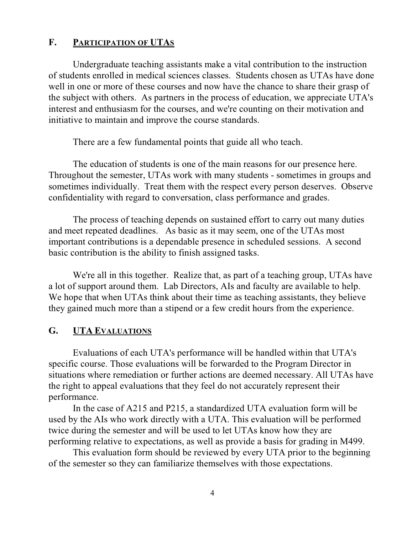#### **F. PARTICIPATION OF UTAS**

Undergraduate teaching assistants make a vital contribution to the instruction of students enrolled in medical sciences classes. Students chosen as UTAs have done well in one or more of these courses and now have the chance to share their grasp of the subject with others. As partners in the process of education, we appreciate UTA's interest and enthusiasm for the courses, and we're counting on their motivation and initiative to maintain and improve the course standards.

There are a few fundamental points that guide all who teach.

The education of students is one of the main reasons for our presence here. Throughout the semester, UTAs work with many students - sometimes in groups and sometimes individually. Treat them with the respect every person deserves. Observe confidentiality with regard to conversation, class performance and grades.

The process of teaching depends on sustained effort to carry out many duties and meet repeated deadlines. As basic as it may seem, one of the UTAs most important contributions is a dependable presence in scheduled sessions. A second basic contribution is the ability to finish assigned tasks.

We're all in this together. Realize that, as part of a teaching group, UTAs have a lot of support around them. Lab Directors, AIs and faculty are available to help. We hope that when UTAs think about their time as teaching assistants, they believe they gained much more than a stipend or a few credit hours from the experience.

#### **G. UTA EVALUATIONS**

Evaluations of each UTA's performance will be handled within that UTA's specific course. Those evaluations will be forwarded to the Program Director in situations where remediation or further actions are deemed necessary. All UTAs have the right to appeal evaluations that they feel do not accurately represent their performance.

In the case of A215 and P215, a standardized UTA evaluation form will be used by the AIs who work directly with a UTA. This evaluation will be performed twice during the semester and will be used to let UTAs know how they are performing relative to expectations, as well as provide a basis for grading in M499.

This evaluation form should be reviewed by every UTA prior to the beginning of the semester so they can familiarize themselves with those expectations.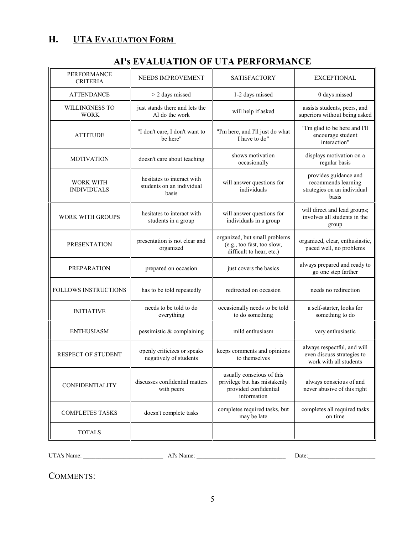# **H. UTA EVALUATION FORM**

| PERFORMANCE<br><b>CRITERIA</b>         | NEEDS IMPROVEMENT                                                | <b>SATISFACTORY</b>                                                                               | <b>EXCEPTIONAL</b>                                                                   |
|----------------------------------------|------------------------------------------------------------------|---------------------------------------------------------------------------------------------------|--------------------------------------------------------------------------------------|
| <b>ATTENDANCE</b>                      | > 2 days missed                                                  | 1-2 days missed                                                                                   | 0 days missed                                                                        |
| WILLINGNESS TO<br><b>WORK</b>          | just stands there and lets the<br>AI do the work                 | will help if asked                                                                                | assists students, peers, and<br>superiors without being asked                        |
| <b>ATTITUDE</b>                        | "I don't care, I don't want to<br>be here"                       | "I'm here, and I'll just do what<br>I have to do"                                                 | "I'm glad to be here and I'll<br>encourage student<br>interaction"                   |
| <b>MOTIVATION</b>                      | doesn't care about teaching                                      | shows motivation<br>occasionally                                                                  | displays motivation on a<br>regular basis                                            |
| <b>WORK WITH</b><br><b>INDIVIDUALS</b> | hesitates to interact with<br>students on an individual<br>basis | will answer questions for<br>individuals                                                          | provides guidance and<br>recommends learning<br>strategies on an individual<br>basis |
| <b>WORK WITH GROUPS</b>                | hesitates to interact with<br>students in a group                | will answer questions for<br>individuals in a group                                               | will direct and lead groups;<br>involves all students in the<br>group                |
| <b>PRESENTATION</b>                    | presentation is not clear and<br>organized                       | organized, but small problems<br>(e.g., too fast, too slow,<br>difficult to hear, etc.)           | organized, clear, enthusiastic,<br>paced well, no problems                           |
| <b>PREPARATION</b>                     | prepared on occasion                                             | just covers the basics                                                                            | always prepared and ready to<br>go one step farther                                  |
| FOLLOWS INSTRUCTIONS                   | has to be told repeatedly                                        | redirected on occasion                                                                            | needs no redirection                                                                 |
| <b>INITIATIVE</b>                      | needs to be told to do<br>everything                             | occasionally needs to be told<br>to do something                                                  | a self-starter, looks for<br>something to do                                         |
| <b>ENTHUSIASM</b>                      | pessimistic & complaining                                        | mild enthusiasm                                                                                   | very enthusiastic                                                                    |
| <b>RESPECT OF STUDENT</b>              | openly criticizes or speaks<br>negatively of students            | keeps comments and opinions<br>to themselves                                                      | always respectful, and will<br>even discuss strategies to<br>work with all students  |
| <b>CONFIDENTIALITY</b>                 | discusses confidential matters<br>with peers                     | usually conscious of this<br>privilege but has mistakenly<br>provided confidential<br>information | always conscious of and<br>never abusive of this right                               |
| <b>COMPLETES TASKS</b>                 | doesn't complete tasks                                           | completes required tasks, but<br>may be late                                                      | completes all required tasks<br>on time                                              |
| <b>TOTALS</b>                          |                                                                  |                                                                                                   |                                                                                      |

# **AI's EVALUATION OF UTA PERFORMANCE**

UTA's Name: \_\_\_\_\_\_\_\_\_\_\_\_\_\_\_\_\_\_\_\_\_\_\_\_\_\_ AI's Name: \_\_\_\_\_\_\_\_\_\_\_\_\_\_\_\_\_\_\_\_\_\_\_\_\_\_\_\_\_ Date:\_\_\_\_\_\_\_\_\_\_\_\_\_\_\_\_\_\_\_\_\_\_

COMMENTS: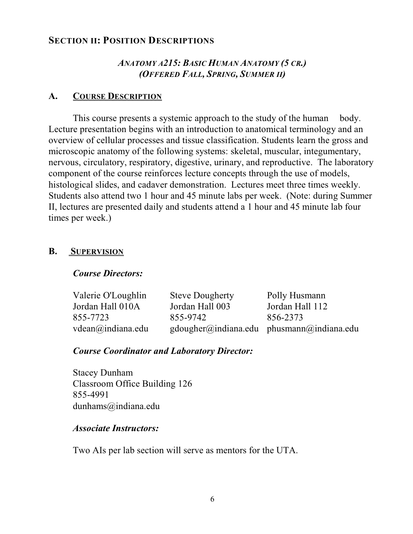## **SECTION II: POSITION DESCRIPTIONS**

## *ANATOMY A215: BASIC HUMAN ANATOMY (5 CR.) (OFFERED FALL, SPRING, SUMMER II)*

#### **A. COURSE DESCRIPTION**

This course presents a systemic approach to the study of the human body. Lecture presentation begins with an introduction to anatomical terminology and an overview of cellular processes and tissue classification. Students learn the gross and microscopic anatomy of the following systems: skeletal, muscular, integumentary, nervous, circulatory, respiratory, digestive, urinary, and reproductive. The laboratory component of the course reinforces lecture concepts through the use of models, histological slides, and cadaver demonstration. Lectures meet three times weekly. Students also attend two 1 hour and 45 minute labs per week. (Note: during Summer II, lectures are presented daily and students attend a 1 hour and 45 minute lab four times per week.)

#### **B. SUPERVISION**

## *Course Directors:*

| Valerie O'Loughlin          | <b>Steve Dougherty</b> | Polly Husmann                                                                     |
|-----------------------------|------------------------|-----------------------------------------------------------------------------------|
| Jordan Hall 010A            | Jordan Hall 003        | Jordan Hall 112                                                                   |
| 855-7723                    | 855-9742               | 856-2373                                                                          |
| $vdean(\omega)$ indiana.edu |                        | $\text{gdougher}(\hat{\omega})$ indiana.edu phusmann $(\hat{\omega})$ indiana.edu |

## *Course Coordinator and Laboratory Director:*

Stacey Dunham Classroom Office Building 126 855-4991 dunhams@indiana.edu

#### *Associate Instructors:*

Two AIs per lab section will serve as mentors for the UTA.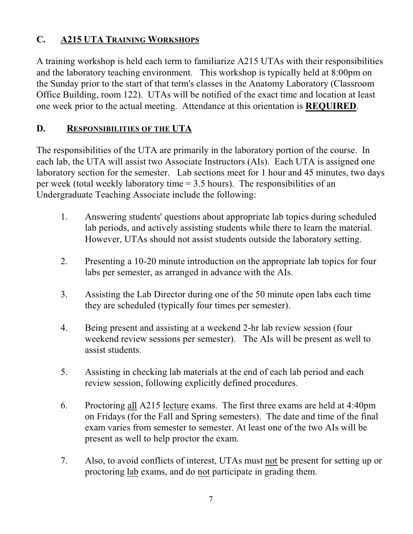# **C. A215 UTA TRAINING WORKSHOPS**

A training workshop is held each term to familiarize A215 UTAs with their responsibilities and the laboratory teaching environment. This workshop is typically held at 8:00pm on the Sunday prior to the start of that term's classes in the Anatomy Laboratory (Classroom Office Building, room 122). UTAs will be notified of the exact time and location at least one week prior to the actual meeting. Attendance at this orientation is **REQUIRED**.

## **D. RESPONSIBILITIES OF THE UTA**

The responsibilities of the UTA are primarily in the laboratory portion of the course. In each lab, the UTA will assist two Associate Instructors (AIs). Each UTA is assigned one laboratory section for the semester. Lab sections meet for 1 hour and 45 minutes, two days per week (total weekly laboratory time  $= 3.5$  hours). The responsibilities of an Undergraduate Teaching Associate include the following:

- 1. Answering students' questions about appropriate lab topics during scheduled lab periods, and actively assisting students while there to learn the material. However, UTAs should not assist students outside the laboratory setting.
- 2. Presenting a 10-20 minute introduction on the appropriate lab topics for four labs per semester, as arranged in advance with the AIs.
- 3. Assisting the Lab Director during one of the 50 minute open labs each time they are scheduled (typically four times per semester).
- 4. Being present and assisting at a weekend 2-hr lab review session (four weekend review sessions per semester). The AIs will be present as well to assist students.
- 5. Assisting in checking lab materials at the end of each lab period and each review session, following explicitly defined procedures.
- 6. Proctoring all A215 lecture exams. The first three exams are held at 4:40pm on Fridays (for the Fall and Spring semesters). The date and time of the final exam varies from semester to semester. At least one of the two AIs will be present as well to help proctor the exam.
- 7. Also, to avoid conflicts of interest, UTAs must not be present for setting up or proctoring lab exams, and do not participate in grading them.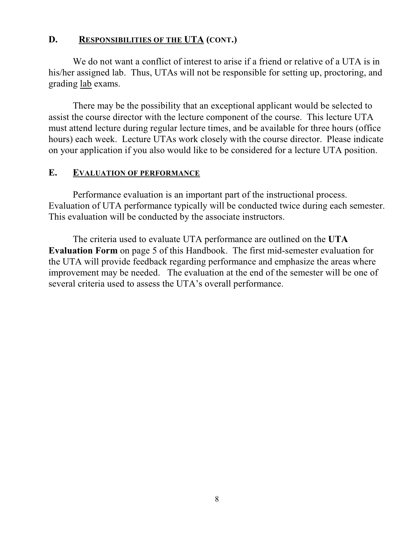## **D. RESPONSIBILITIES OF THE UTA (CONT.)**

We do not want a conflict of interest to arise if a friend or relative of a UTA is in his/her assigned lab. Thus, UTAs will not be responsible for setting up, proctoring, and grading lab exams.

There may be the possibility that an exceptional applicant would be selected to assist the course director with the lecture component of the course. This lecture UTA must attend lecture during regular lecture times, and be available for three hours (office hours) each week. Lecture UTAs work closely with the course director. Please indicate on your application if you also would like to be considered for a lecture UTA position.

#### **E. EVALUATION OF PERFORMANCE**

Performance evaluation is an important part of the instructional process. Evaluation of UTA performance typically will be conducted twice during each semester. This evaluation will be conducted by the associate instructors.

The criteria used to evaluate UTA performance are outlined on the **UTA Evaluation Form** on page 5 of this Handbook. The first mid-semester evaluation for the UTA will provide feedback regarding performance and emphasize the areas where improvement may be needed. The evaluation at the end of the semester will be one of several criteria used to assess the UTA's overall performance.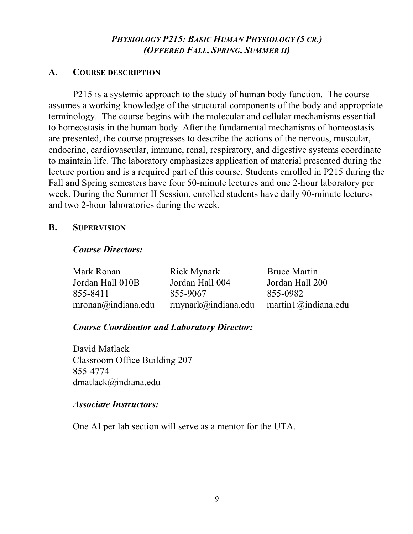## *PHYSIOLOGY P215: BASIC HUMAN PHYSIOLOGY (5 CR.) (OFFERED FALL, SPRING, SUMMER II)*

## **A. COURSE DESCRIPTION**

P215 is a systemic approach to the study of human body function. The course assumes a working knowledge of the structural components of the body and appropriate terminology. The course begins with the molecular and cellular mechanisms essential to homeostasis in the human body. After the fundamental mechanisms of homeostasis are presented, the course progresses to describe the actions of the nervous, muscular, endocrine, cardiovascular, immune, renal, respiratory, and digestive systems coordinate to maintain life. The laboratory emphasizes application of material presented during the lecture portion and is a required part of this course. Students enrolled in P215 during the Fall and Spring semesters have four 50-minute lectures and one 2-hour laboratory per week. During the Summer II Session, enrolled students have daily 90-minute lectures and two 2-hour laboratories during the week.

## **B. SUPERVISION**

#### *Course Directors:*

| Mark Ronan                   | <b>Rick Mynark</b>              | <b>Bruce Martin</b>      |
|------------------------------|---------------------------------|--------------------------|
| Jordan Hall 010B             | Jordan Hall 004                 | Jordan Hall 200          |
| 855-8411                     | 855-9067                        | 855-0982                 |
| $mronan(\omega)$ indiana.edu | $r$ mynark $\omega$ indiana.edu | martin $l$ @ indiana.edu |

## *Course Coordinator and Laboratory Director:*

David Matlack Classroom Office Building 207 855-4774 dmatlack@indiana.edu

#### *Associate Instructors:*

One AI per lab section will serve as a mentor for the UTA.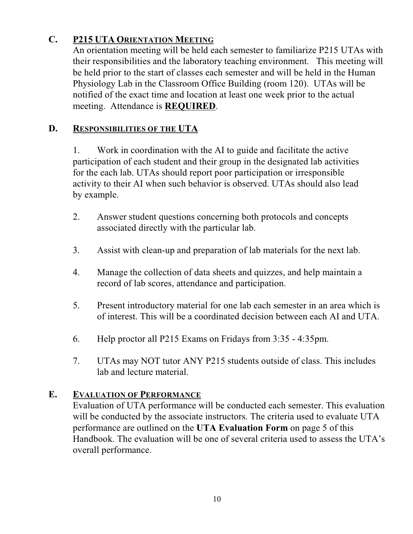# **C. P215 UTA ORIENTATION MEETING**

An orientation meeting will be held each semester to familiarize P215 UTAs with their responsibilities and the laboratory teaching environment. This meeting will be held prior to the start of classes each semester and will be held in the Human Physiology Lab in the Classroom Office Building (room 120). UTAs will be notified of the exact time and location at least one week prior to the actual meeting. Attendance is **REQUIRED**.

## **D. RESPONSIBILITIES OF THE UTA**

1. Work in coordination with the AI to guide and facilitate the active participation of each student and their group in the designated lab activities for the each lab. UTAs should report poor participation or irresponsible activity to their AI when such behavior is observed. UTAs should also lead by example.

- 2. Answer student questions concerning both protocols and concepts associated directly with the particular lab.
- 3. Assist with clean-up and preparation of lab materials for the next lab.
- 4. Manage the collection of data sheets and quizzes, and help maintain a record of lab scores, attendance and participation.
- 5. Present introductory material for one lab each semester in an area which is of interest. This will be a coordinated decision between each AI and UTA.
- 6. Help proctor all P215 Exams on Fridays from 3:35 4:35pm.
- 7. UTAs may NOT tutor ANY P215 students outside of class. This includes lab and lecture material.

## **E. EVALUATION OF PERFORMANCE**

Evaluation of UTA performance will be conducted each semester. This evaluation will be conducted by the associate instructors. The criteria used to evaluate UTA performance are outlined on the **UTA Evaluation Form** on page 5 of this Handbook. The evaluation will be one of several criteria used to assess the UTA's overall performance.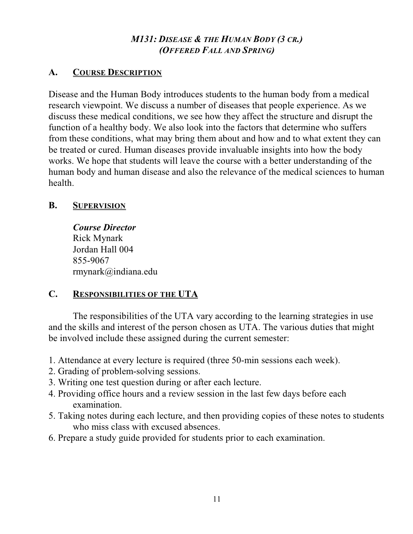## *M131: DISEASE & THE HUMAN BODY (3 CR.) (OFFERED FALL AND SPRING)*

## **A. COURSE DESCRIPTION**

Disease and the Human Body introduces students to the human body from a medical research viewpoint. We discuss a number of diseases that people experience. As we discuss these medical conditions, we see how they affect the structure and disrupt the function of a healthy body. We also look into the factors that determine who suffers from these conditions, what may bring them about and how and to what extent they can be treated or cured. Human diseases provide invaluable insights into how the body works. We hope that students will leave the course with a better understanding of the human body and human disease and also the relevance of the medical sciences to human health.

## **B. SUPERVISION**

*Course Director* Rick Mynark Jordan Hall 004 855-9067 rmynark@indiana.edu

## **C. RESPONSIBILITIES OF THE UTA**

The responsibilities of the UTA vary according to the learning strategies in use and the skills and interest of the person chosen as UTA. The various duties that might be involved include these assigned during the current semester:

- 1. Attendance at every lecture is required (three 50-min sessions each week).
- 2. Grading of problem-solving sessions.
- 3. Writing one test question during or after each lecture.
- 4. Providing office hours and a review session in the last few days before each examination.
- 5. Taking notes during each lecture, and then providing copies of these notes to students who miss class with excused absences.
- 6. Prepare a study guide provided for students prior to each examination.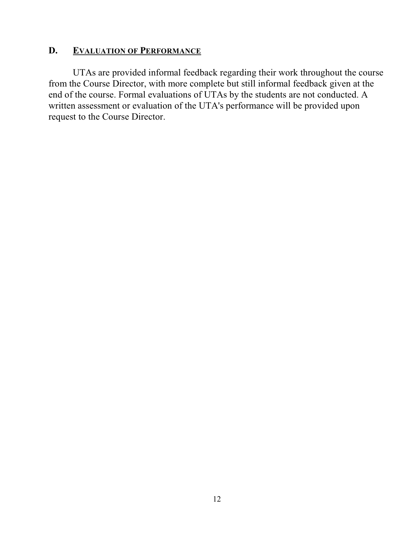## **D. EVALUATION OF PERFORMANCE**

UTAs are provided informal feedback regarding their work throughout the course from the Course Director, with more complete but still informal feedback given at the end of the course. Formal evaluations of UTAs by the students are not conducted. A written assessment or evaluation of the UTA's performance will be provided upon request to the Course Director.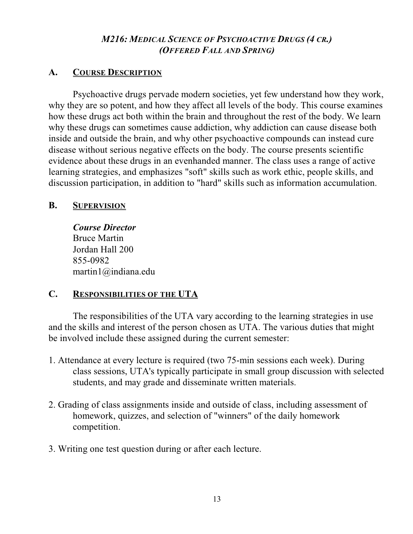## *M216: MEDICAL SCIENCE OF PSYCHOACTIVE DRUGS (4 CR.) (OFFERED FALL AND SPRING)*

## **A. COURSE DESCRIPTION**

Psychoactive drugs pervade modern societies, yet few understand how they work, why they are so potent, and how they affect all levels of the body. This course examines how these drugs act both within the brain and throughout the rest of the body. We learn why these drugs can sometimes cause addiction, why addiction can cause disease both inside and outside the brain, and why other psychoactive compounds can instead cure disease without serious negative effects on the body. The course presents scientific evidence about these drugs in an evenhanded manner. The class uses a range of active learning strategies, and emphasizes "soft" skills such as work ethic, people skills, and discussion participation, in addition to "hard" skills such as information accumulation.

## **B. SUPERVISION**

*Course Director* Bruce Martin Jordan Hall 200 855-0982 martin1@indiana.edu

# **C. RESPONSIBILITIES OF THE UTA**

The responsibilities of the UTA vary according to the learning strategies in use and the skills and interest of the person chosen as UTA. The various duties that might be involved include these assigned during the current semester:

- 1. Attendance at every lecture is required (two 75-min sessions each week). During class sessions, UTA's typically participate in small group discussion with selected students, and may grade and disseminate written materials.
- 2. Grading of class assignments inside and outside of class, including assessment of homework, quizzes, and selection of "winners" of the daily homework competition.
- 3. Writing one test question during or after each lecture.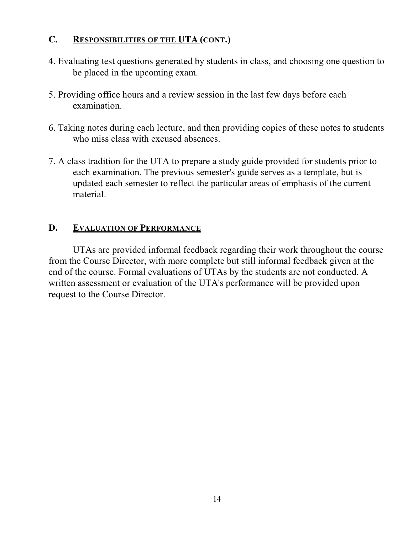## **C. RESPONSIBILITIES OF THE UTA (CONT.)**

- 4. Evaluating test questions generated by students in class, and choosing one question to be placed in the upcoming exam.
- 5. Providing office hours and a review session in the last few days before each examination.
- 6. Taking notes during each lecture, and then providing copies of these notes to students who miss class with excused absences.
- 7. A class tradition for the UTA to prepare a study guide provided for students prior to each examination. The previous semester's guide serves as a template, but is updated each semester to reflect the particular areas of emphasis of the current material.

## **D. EVALUATION OF PERFORMANCE**

UTAs are provided informal feedback regarding their work throughout the course from the Course Director, with more complete but still informal feedback given at the end of the course. Formal evaluations of UTAs by the students are not conducted. A written assessment or evaluation of the UTA's performance will be provided upon request to the Course Director.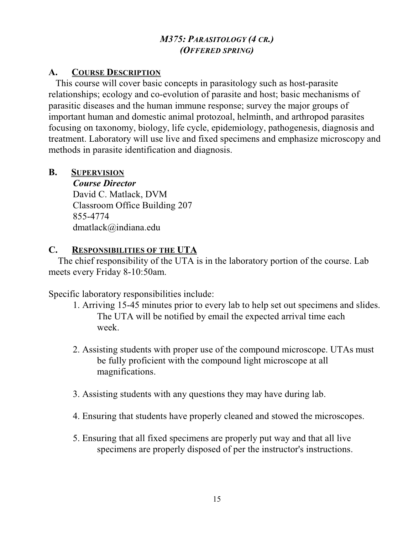## *M375: PARASITOLOGY (4 CR.) (OFFERED SPRING)*

## **A. COURSE DESCRIPTION**

 This course will cover basic concepts in parasitology such as host-parasite relationships; ecology and co-evolution of parasite and host; basic mechanisms of parasitic diseases and the human immune response; survey the major groups of important human and domestic animal protozoal, helminth, and arthropod parasites focusing on taxonomy, biology, life cycle, epidemiology, pathogenesis, diagnosis and treatment. Laboratory will use live and fixed specimens and emphasize microscopy and methods in parasite identification and diagnosis.

## **B. SUPERVISION**

*Course Director* David C. Matlack, DVM Classroom Office Building 207 855-4774 dmatlack@indiana.edu

## **C. RESPONSIBILITIES OF THE UTA**

 The chief responsibility of the UTA is in the laboratory portion of the course. Lab meets every Friday 8-10:50am.

Specific laboratory responsibilities include:

- 1. Arriving 15-45 minutes prior to every lab to help set out specimens and slides. The UTA will be notified by email the expected arrival time each week.
- 2. Assisting students with proper use of the compound microscope. UTAs must be fully proficient with the compound light microscope at all magnifications.
- 3. Assisting students with any questions they may have during lab.
- 4. Ensuring that students have properly cleaned and stowed the microscopes.
- 5. Ensuring that all fixed specimens are properly put way and that all live specimens are properly disposed of per the instructor's instructions.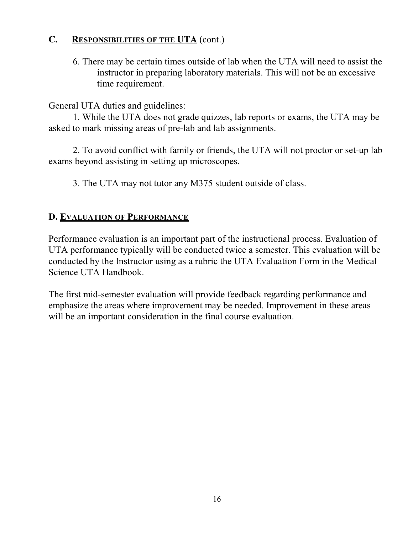## **C. RESPONSIBILITIES OF THE UTA** (cont.)

6. There may be certain times outside of lab when the UTA will need to assist the instructor in preparing laboratory materials. This will not be an excessive time requirement.

General UTA duties and guidelines:

1. While the UTA does not grade quizzes, lab reports or exams, the UTA may be asked to mark missing areas of pre-lab and lab assignments.

2. To avoid conflict with family or friends, the UTA will not proctor or set-up lab exams beyond assisting in setting up microscopes.

3. The UTA may not tutor any M375 student outside of class.

## **D. EVALUATION OF PERFORMANCE**

Performance evaluation is an important part of the instructional process. Evaluation of UTA performance typically will be conducted twice a semester. This evaluation will be conducted by the Instructor using as a rubric the UTA Evaluation Form in the Medical Science UTA Handbook.

The first mid-semester evaluation will provide feedback regarding performance and emphasize the areas where improvement may be needed. Improvement in these areas will be an important consideration in the final course evaluation.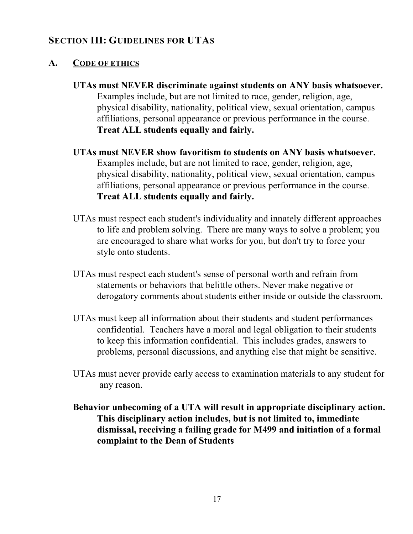# **SECTION III: GUIDELINES FOR UTAS**

## **A. CODE OF ETHICS**

- **UTAs must NEVER discriminate against students on ANY basis whatsoever.** Examples include, but are not limited to race, gender, religion, age, physical disability, nationality, political view, sexual orientation, campus affiliations, personal appearance or previous performance in the course. **Treat ALL students equally and fairly.**
- **UTAs must NEVER show favoritism to students on ANY basis whatsoever.** Examples include, but are not limited to race, gender, religion, age, physical disability, nationality, political view, sexual orientation, campus affiliations, personal appearance or previous performance in the course. **Treat ALL students equally and fairly.**
- UTAs must respect each student's individuality and innately different approaches to life and problem solving. There are many ways to solve a problem; you are encouraged to share what works for you, but don't try to force your style onto students.
- UTAs must respect each student's sense of personal worth and refrain from statements or behaviors that belittle others. Never make negative or derogatory comments about students either inside or outside the classroom.
- UTAs must keep all information about their students and student performances confidential. Teachers have a moral and legal obligation to their students to keep this information confidential. This includes grades, answers to problems, personal discussions, and anything else that might be sensitive.
- UTAs must never provide early access to examination materials to any student for any reason.
- **Behavior unbecoming of a UTA will result in appropriate disciplinary action. This disciplinary action includes, but is not limited to, immediate dismissal, receiving a failing grade for M499 and initiation of a formal complaint to the Dean of Students**